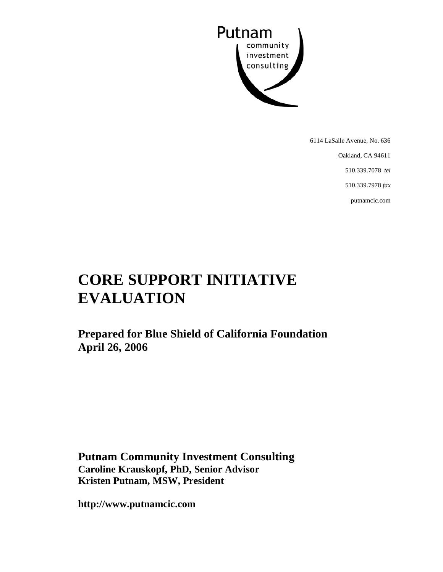

6114 LaSalle Avenue, No. 636

Oakland, CA 94611

510.339.7078 *tel* 

510.339.7978 *fax* 

putnamcic.com

# **CORE SUPPORT INITIATIVE EVALUATION**

**Prepared for Blue Shield of California Foundation April 26, 2006** 

**Putnam Community Investment Consulting Caroline Krauskopf, PhD, Senior Advisor Kristen Putnam, MSW, President** 

**http://www.putnamcic.com**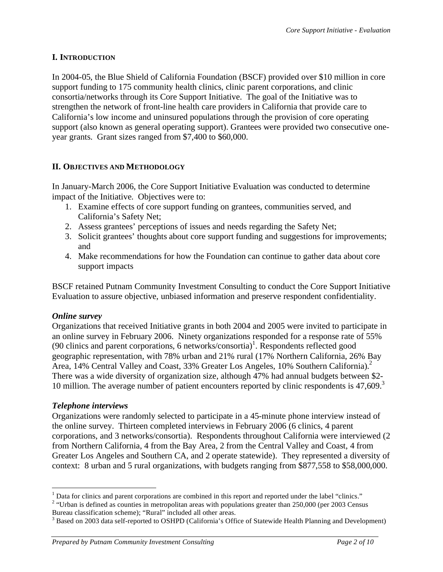# **I. INTRODUCTION**

In 2004-05, the Blue Shield of California Foundation (BSCF) provided over \$10 million in core support funding to 175 community health clinics, clinic parent corporations, and clinic consortia/networks through its Core Support Initiative. The goal of the Initiative was to strengthen the network of front-line health care providers in California that provide care to California's low income and uninsured populations through the provision of core operating support (also known as general operating support). Grantees were provided two consecutive oneyear grants. Grant sizes ranged from \$7,400 to \$60,000.

# **II. OBJECTIVES AND METHODOLOGY**

In January-March 2006, the Core Support Initiative Evaluation was conducted to determine impact of the Initiative. Objectives were to:

- 1. Examine effects of core support funding on grantees, communities served, and California's Safety Net;
- 2. Assess grantees' perceptions of issues and needs regarding the Safety Net;
- 3. Solicit grantees' thoughts about core support funding and suggestions for improvements; and
- 4. Make recommendations for how the Foundation can continue to gather data about core support impacts

BSCF retained Putnam Community Investment Consulting to conduct the Core Support Initiative Evaluation to assure objective, unbiased information and preserve respondent confidentiality.

#### *Online survey*

Organizations that received Initiative grants in both 2004 and 2005 were invited to participate in an online survey in February 2006. Ninety organizations responded for a response rate of 55% (90 clinics and parent corporations, 6 networks/consortia)<sup>1</sup>. Respondents reflected good geographic representation, with 78% urban and 21% rural (17% Northern California, 26% Bay Area, 14% Central Valley and Coast, 33% Greater Los Angeles, 10% Southern California).<sup>2</sup> There was a wide diversity of organization size, although 47% had annual budgets between \$2- 10 million. The average number of patient encounters reported by clinic respondents is  $47,609$ .<sup>3</sup>

#### *Telephone interviews*

Organizations were randomly selected to participate in a 45-minute phone interview instead of the online survey. Thirteen completed interviews in February 2006 (6 clinics, 4 parent corporations, and 3 networks/consortia). Respondents throughout California were interviewed (2 from Northern California, 4 from the Bay Area, 2 from the Central Valley and Coast, 4 from Greater Los Angeles and Southern CA, and 2 operate statewide). They represented a diversity of context: 8 urban and 5 rural organizations, with budgets ranging from \$877,558 to \$58,000,000.

<sup>1</sup>  $<sup>1</sup>$  Data for clinics and parent corporations are combined in this report and reported under the label "clinics."</sup>

<sup>&</sup>lt;sup>2</sup> "Urban is defined as counties in metropolitan areas with populations greater than  $250,000$  (per 2003 Census Bureau classification scheme); "Rural" included all other areas.

<sup>&</sup>lt;sup>3</sup> Based on 2003 data self-reported to OSHPD (California's Office of Statewide Health Planning and Development)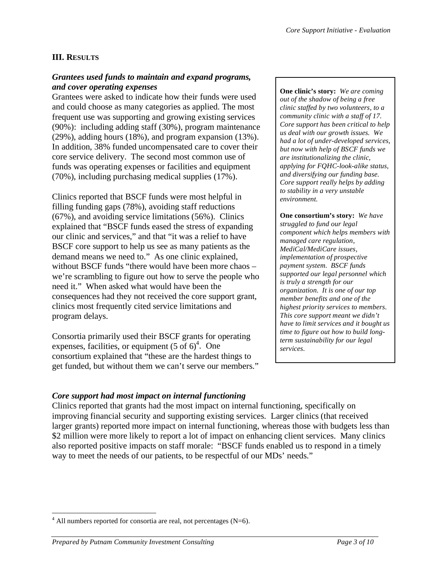# **III. RESULTS**

#### *Grantees used funds to maintain and expand programs, and cover operating expenses*

Grantees were asked to indicate how their funds were used and could choose as many categories as applied. The most frequent use was supporting and growing existing services (90%): including adding staff (30%), program maintenance (29%), adding hours (18%), and program expansion (13%). In addition, 38% funded uncompensated care to cover their core service delivery. The second most common use of funds was operating expenses or facilities and equipment (70%), including purchasing medical supplies (17%).

Clinics reported that BSCF funds were most helpful in filling funding gaps (78%), avoiding staff reductions (67%), and avoiding service limitations (56%). Clinics explained that "BSCF funds eased the stress of expanding our clinic and services," and that "it was a relief to have BSCF core support to help us see as many patients as the demand means we need to." As one clinic explained, without BSCF funds "there would have been more chaos – we're scrambling to figure out how to serve the people who need it." When asked what would have been the consequences had they not received the core support grant, clinics most frequently cited service limitations and program delays.

Consortia primarily used their BSCF grants for operating expenses, facilities, or equipment  $(5 \text{ of } 6)^4$ . One consortium explained that "these are the hardest things to get funded, but without them we can't serve our members."

#### **One clinic's story:** *We are coming out of the shadow of being a free clinic staffed by two volunteers, to a community clinic with a staff of 17. Core support has been critical to help us deal with our growth issues. We had a lot of under-developed services, but now with help of BSCF funds we are institutionalizing the clinic, applying for FQHC-look-alike status, and diversifying our funding base. Core support really helps by adding to stability in a very unstable environment.*

**One consortium's story:** *We have struggled to fund our legal component which helps members with managed care regulation, MediCal/MediCare issues, implementation of prospective payment system. BSCF funds supported our legal personnel which is truly a strength for our organization. It is one of our top member benefits and one of the highest priority services to members. This core support meant we didn't have to limit services and it bought us time to figure out how to build longterm sustainability for our legal services.* 

#### *Core support had most impact on internal functioning*

Clinics reported that grants had the most impact on internal functioning, specifically on improving financial security and supporting existing services. Larger clinics (that received larger grants) reported more impact on internal functioning, whereas those with budgets less than \$2 million were more likely to report a lot of impact on enhancing client services. Many clinics also reported positive impacts on staff morale: "BSCF funds enabled us to respond in a timely way to meet the needs of our patients, to be respectful of our MDs' needs."

 $\overline{a}$ 

 $4$  All numbers reported for consortia are real, not percentages (N=6).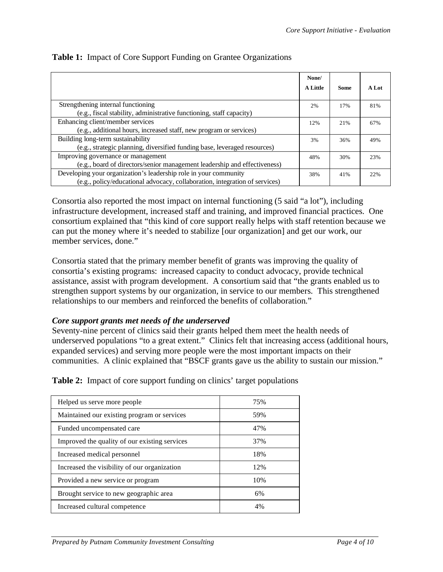|                                                                             | None/           |             |       |
|-----------------------------------------------------------------------------|-----------------|-------------|-------|
|                                                                             | <b>A Little</b> | <b>Some</b> | A Lot |
| Strengthening internal functioning                                          | 2%              | 17%         | 81%   |
| (e.g., fiscal stability, administrative functioning, staff capacity)        |                 |             |       |
| Enhancing client/member services                                            | 12%             | 21%         | 67%   |
| (e.g., additional hours, increased staff, new program or services)          |                 |             |       |
| Building long-term sustainability                                           | 3%              | 36%         | 49%   |
| (e.g., strategic planning, diversified funding base, leveraged resources)   |                 |             |       |
| Improving governance or management                                          | 48%             | 30%         | 23%   |
| (e.g., board of directors/senior management leadership and effectiveness)   |                 |             |       |
| Developing your organization's leadership role in your community            | 38%             | 41%         | 22%   |
| (e.g., policy/educational advocacy, collaboration, integration of services) |                 |             |       |

#### **Table 1:** Impact of Core Support Funding on Grantee Organizations

Consortia also reported the most impact on internal functioning (5 said "a lot"), including infrastructure development, increased staff and training, and improved financial practices. One consortium explained that "this kind of core support really helps with staff retention because we can put the money where it's needed to stabilize [our organization] and get our work, our member services, done."

Consortia stated that the primary member benefit of grants was improving the quality of consortia's existing programs: increased capacity to conduct advocacy, provide technical assistance, assist with program development. A consortium said that "the grants enabled us to strengthen support systems by our organization, in service to our members. This strengthened relationships to our members and reinforced the benefits of collaboration."

#### *Core support grants met needs of the underserved*

Seventy-nine percent of clinics said their grants helped them meet the health needs of underserved populations "to a great extent." Clinics felt that increasing access (additional hours, expanded services) and serving more people were the most important impacts on their communities. A clinic explained that "BSCF grants gave us the ability to sustain our mission."

**Table 2:** Impact of core support funding on clinics' target populations

| Helped us serve more people                   | 75% |
|-----------------------------------------------|-----|
| Maintained our existing program or services   | 59% |
| Funded uncompensated care                     | 47% |
| Improved the quality of our existing services | 37% |
| Increased medical personnel                   | 18% |
| Increased the visibility of our organization  | 12% |
| Provided a new service or program             | 10% |
| Brought service to new geographic area        | 6%  |
| Increased cultural competence                 | 4%  |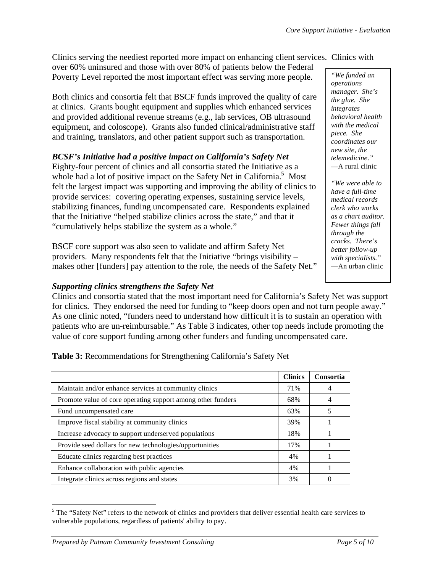Clinics serving the neediest reported more impact on enhancing client services. Clinics with

over 60% uninsured and those with over 80% of patients below the Federal Poverty Level reported the most important effect was serving more people.

Both clinics and consortia felt that BSCF funds improved the quality of care at clinics. Grants bought equipment and supplies which enhanced services and provided additional revenue streams (e.g., lab services, OB ultrasound equipment, and coloscope). Grants also funded clinical/administrative staff and training, translators, and other patient support such as transportation.

# *BCSF's Initiative had a positive impact on California's Safety Net*

Eighty-four percent of clinics and all consortia stated the Initiative as a whole had a lot of positive impact on the Safety Net in California.<sup>5</sup> Most felt the largest impact was supporting and improving the ability of clinics to provide services: covering operating expenses, sustaining service levels, stabilizing finances, funding uncompensated care. Respondents explained that the Initiative "helped stabilize clinics across the state," and that it "cumulatively helps stabilize the system as a whole."

BSCF core support was also seen to validate and affirm Safety Net providers. Many respondents felt that the Initiative "brings visibility – makes other [funders] pay attention to the role, the needs of the Safety Net."

#### *Supporting clinics strengthens the Safety Net*

Clinics and consortia stated that the most important need for California's Safety Net was support for clinics. They endorsed the need for funding to "keep doors open and not turn people away." As one clinic noted, "funders need to understand how difficult it is to sustain an operation with patients who are un-reimbursable." As Table 3 indicates, other top needs include promoting the value of core support funding among other funders and funding uncompensated care.

**Clinics Consortia Consortia** Maintain and/or enhance services at community clinics  $\begin{array}{|c|c|c|c|c|c|c|c|c|} \hline \end{array}$  71% 4 Promote value of core operating support among other funders 68% 4 Fund uncompensated care 63% 5 Improve fiscal stability at community clinics 1 and 39% 1 39% 1 39% Increase advocacy to support underserved populations 18% 18% 1 Provide seed dollars for new technologies/opportunities 17% 17% 1 Educate clinics regarding best practices 1 4% 1 4% 1 Enhance collaboration with public agencies 1 4% 1 4% 1 Integrate clinics across regions and states 3% 0

**Table 3:** Recommendations for Strengthening California's Safety Net

*"We funded an operations manager. She's the glue. She integrates behavioral health with the medical piece. She coordinates our new site, the telemedicine."*  —A rural clinic

*"We were able to have a full-time medical records clerk who works as a chart auditor. Fewer things fall through the cracks. There's better follow-up with specialists."* —An urban clinic

 $\overline{a}$ <sup>5</sup> The "Safety Net" refers to the network of clinics and providers that deliver essential health care services to vulnerable populations, regardless of patients' ability to pay.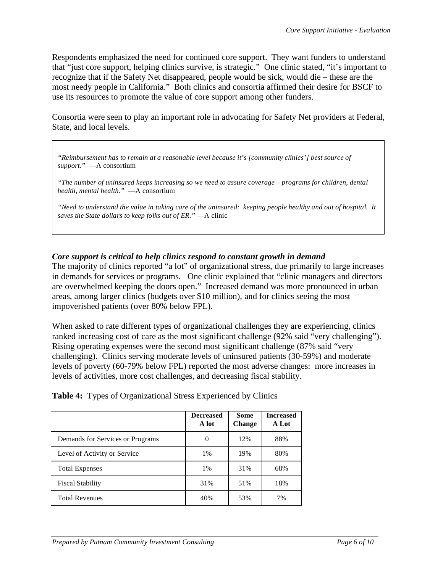Respondents emphasized the need for continued core support. They want funders to understand that "just core support, helping clinics survive, is strategic." One clinic stated, "it's important to recognize that if the Safety Net disappeared, people would be sick, would die – these are the most needy people in California." Both clinics and consortia affirmed their desire for BSCF to use its resources to promote the value of core support among other funders.

Consortia were seen to play an important role in advocating for Safety Net providers at Federal, State, and local levels.

*"Reimbursement has to remain at a reasonable level because it's [community clinics'] best source of support."* —A consortium

*"The number of uninsured keeps increasing so we need to assure coverage – programs for children, dental health, mental health."* —A consortium

*"Need to understand the value in taking care of the uninsured: keeping people healthy and out of hospital. It saves the State dollars to keep folks out of ER."* —A clinic

# *Core support is critical to help clinics respond to constant growth in demand*

The majority of clinics reported "a lot" of organizational stress, due primarily to large increases in demands for services or programs. One clinic explained that "clinic managers and directors are overwhelmed keeping the doors open." Increased demand was more pronounced in urban areas, among larger clinics (budgets over \$10 million), and for clinics seeing the most impoverished patients (over 80% below FPL).

When asked to rate different types of organizational challenges they are experiencing, clinics ranked increasing cost of care as the most significant challenge (92% said "very challenging"). Rising operating expenses were the second most significant challenge (87% said "very challenging). Clinics serving moderate levels of uninsured patients (30-59%) and moderate levels of poverty (60-79% below FPL) reported the most adverse changes: more increases in levels of activities, more cost challenges, and decreasing fiscal stability.

|  |  |  |  | <b>Table 4:</b> Types of Organizational Stress Experienced by Clinics |  |  |  |
|--|--|--|--|-----------------------------------------------------------------------|--|--|--|
|--|--|--|--|-----------------------------------------------------------------------|--|--|--|

|                                  | <b>Decreased</b><br>A lot | <b>Some</b><br><b>Change</b> | <b>Increased</b><br>A Lot |
|----------------------------------|---------------------------|------------------------------|---------------------------|
| Demands for Services or Programs | 0                         | 12%                          | 88%                       |
| Level of Activity or Service     | 1%                        | 19%                          | 80%                       |
| <b>Total Expenses</b>            | $1\%$                     | 31%                          | 68%                       |
| <b>Fiscal Stability</b>          | 31%                       | 51%                          | 18%                       |
| <b>Total Revenues</b>            | 40%                       | 53%                          | 7%                        |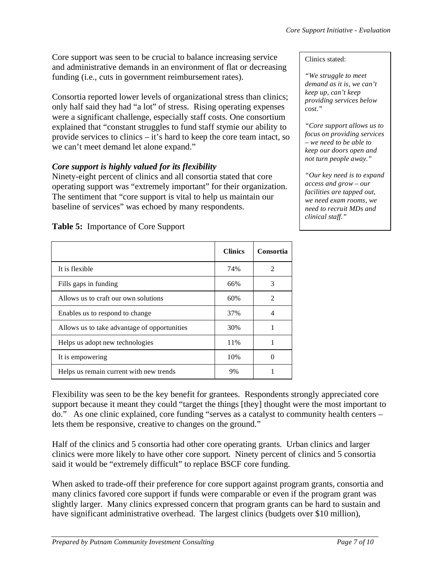Core support was seen to be crucial to balance increasing service and administrative demands in an environment of flat or decreasing funding (i.e., cuts in government reimbursement rates).

Consortia reported lower levels of organizational stress than clinics; only half said they had "a lot" of stress. Rising operating expenses were a significant challenge, especially staff costs. One consortium explained that "constant struggles to fund staff stymie our ability to provide services to clinics – it's hard to keep the core team intact, so we can't meet demand let alone expand."

# *Core support is highly valued for its flexibility*

Ninety-eight percent of clinics and all consortia stated that core operating support was "extremely important" for their organization. The sentiment that "core support is vital to help us maintain our baseline of services" was echoed by many respondents.

|                                              | <b>Clinics</b> | Consortia     |
|----------------------------------------------|----------------|---------------|
| It is flexible                               | 74%            | $\mathcal{L}$ |
| Fills gaps in funding                        | 66%            | 3             |
| Allows us to craft our own solutions         | 60%            | $\mathcal{L}$ |
| Enables us to respond to change              | 37%            |               |
| Allows us to take advantage of opportunities | 30%            |               |
| Helps us adopt new technologies              | 11%            |               |
| It is empowering                             | 10%            |               |
| Helps us remain current with new trends      | 9%             |               |

**Table 5:** Importance of Core Support

Flexibility was seen to be the key benefit for grantees. Respondents strongly appreciated core support because it meant they could "target the things [they] thought were the most important to do." As one clinic explained, core funding "serves as a catalyst to community health centers – lets them be responsive, creative to changes on the ground."

Half of the clinics and 5 consortia had other core operating grants. Urban clinics and larger clinics were more likely to have other core support. Ninety percent of clinics and 5 consortia said it would be "extremely difficult" to replace BSCF core funding.

When asked to trade-off their preference for core support against program grants, consortia and many clinics favored core support if funds were comparable or even if the program grant was slightly larger. Many clinics expressed concern that program grants can be hard to sustain and have significant administrative overhead. The largest clinics (budgets over \$10 million),

*"We struggle to meet demand as it is, we can't keep up, can't keep providing services below cost."* 

*"Core support allows us to focus on providing services – we need to be able to keep our doors open and not turn people away."* 

*"Our key need is to expand access and grow – our facilities are tapped out, we need exam rooms, we need to recruit MDs and clinical staff."*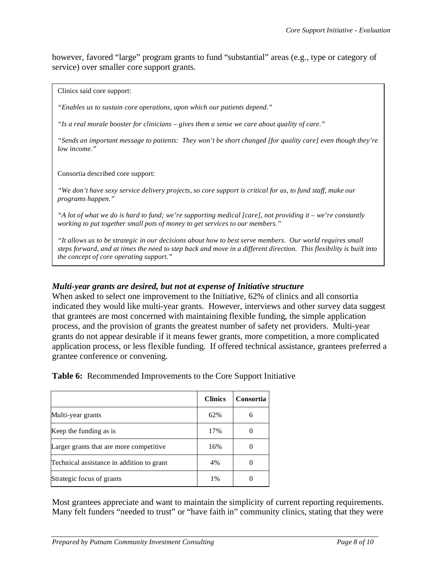however, favored "large" program grants to fund "substantial" areas (e.g., type or category of service) over smaller core support grants.

Clinics said core support:

*"Enables us to sustain core operations, upon which our patients depend."*

*"Is a real morale booster for clinicians – gives them a sense we care about quality of care."* 

*"Sends an important message to patients: They won't be short changed [for quality care] even though they're low income."* 

Consortia described core support:

*"We don't have sexy service delivery projects, so core support is critical for us, to fund staff, make our programs happen."* 

*"A lot of what we do is hard to fund; we're supporting medical [care], not providing it – we're constantly working to put together small pots of money to get services to our members."* 

*"It allows us to be strategic in our decisions about how to best serve members. Our world requires small steps forward, and at times the need to step back and move in a different direction. This flexibility is built into the concept of core operating support."* 

#### *Multi-year grants are desired, but not at expense of Initiative structure*

When asked to select one improvement to the Initiative, 62% of clinics and all consortia indicated they would like multi-year grants. However, interviews and other survey data suggest that grantees are most concerned with maintaining flexible funding, the simple application process, and the provision of grants the greatest number of safety net providers. Multi-year grants do not appear desirable if it means fewer grants, more competition, a more complicated application process, or less flexible funding. If offered technical assistance, grantees preferred a grantee conference or convening.

**Table 6:** Recommended Improvements to the Core Support Initiative

|                                           | <b>Clinics</b> | Consortia |
|-------------------------------------------|----------------|-----------|
| Multi-year grants                         | 62%            | 6         |
| Keep the funding as is                    | 17%            |           |
| Larger grants that are more competitive.  | 16%            |           |
| Technical assistance in addition to grant | 4%             |           |
| Strategic focus of grants                 | 1%             |           |

Most grantees appreciate and want to maintain the simplicity of current reporting requirements. Many felt funders "needed to trust" or "have faith in" community clinics, stating that they were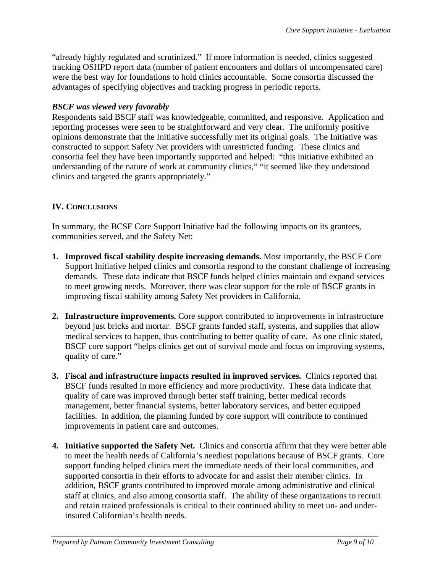"already highly regulated and scrutinized." If more information is needed, clinics suggested tracking OSHPD report data (number of patient encounters and dollars of uncompensated care) were the best way for foundations to hold clinics accountable. Some consortia discussed the advantages of specifying objectives and tracking progress in periodic reports.

#### *BSCF was viewed very favorably*

Respondents said BSCF staff was knowledgeable, committed, and responsive. Application and reporting processes were seen to be straightforward and very clear. The uniformly positive opinions demonstrate that the Initiative successfully met its original goals. The Initiative was constructed to support Safety Net providers with unrestricted funding. These clinics and consortia feel they have been importantly supported and helped: "this initiative exhibited an understanding of the nature of work at community clinics," "it seemed like they understood clinics and targeted the grants appropriately."

#### **IV. CONCLUSIONS**

In summary, the BCSF Core Support Initiative had the following impacts on its grantees, communities served, and the Safety Net:

- **1. Improved fiscal stability despite increasing demands.** Most importantly, the BSCF Core Support Initiative helped clinics and consortia respond to the constant challenge of increasing demands. These data indicate that BSCF funds helped clinics maintain and expand services to meet growing needs. Moreover, there was clear support for the role of BSCF grants in improving fiscal stability among Safety Net providers in California.
- **2. Infrastructure improvements.** Core support contributed to improvements in infrastructure beyond just bricks and mortar. BSCF grants funded staff, systems, and supplies that allow medical services to happen, thus contributing to better quality of care. As one clinic stated, BSCF core support "helps clinics get out of survival mode and focus on improving systems, quality of care."
- **3. Fiscal and infrastructure impacts resulted in improved services.** Clinics reported that BSCF funds resulted in more efficiency and more productivity. These data indicate that quality of care was improved through better staff training, better medical records management, better financial systems, better laboratory services, and better equipped facilities. In addition, the planning funded by core support will contribute to continued improvements in patient care and outcomes.
- **4. Initiative supported the Safety Net.** Clinics and consortia affirm that they were better able to meet the health needs of California's neediest populations because of BSCF grants. Core support funding helped clinics meet the immediate needs of their local communities, and supported consortia in their efforts to advocate for and assist their member clinics. In addition, BSCF grants contributed to improved morale among administrative and clinical staff at clinics, and also among consortia staff. The ability of these organizations to recruit and retain trained professionals is critical to their continued ability to meet un- and underinsured Californian's health needs.